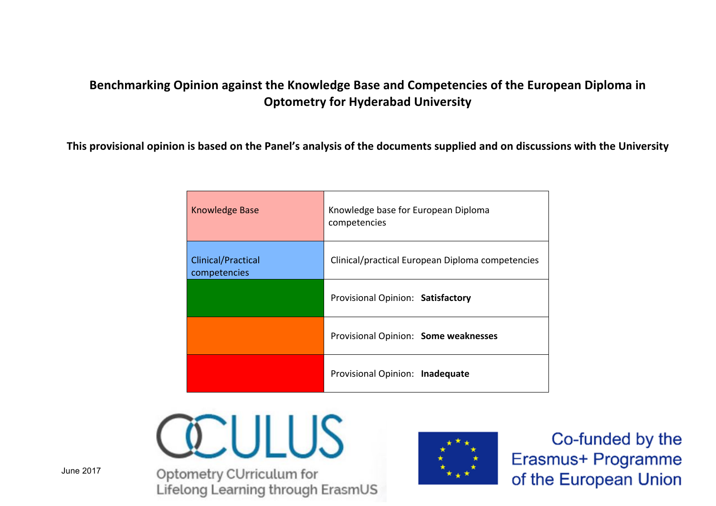## **Benchmarking Opinion against the Knowledge Base and Competencies of the European Diploma in Optometry for Hyderabad University**

This provisional opinion is based on the Panel's analysis of the documents supplied and on discussions with the University

| Knowledge Base                     | Knowledge base for European Diploma<br>competencies |
|------------------------------------|-----------------------------------------------------|
| Clinical/Practical<br>competencies | Clinical/practical European Diploma competencies    |
|                                    | Provisional Opinion: Satisfactory                   |
|                                    | Provisional Opinion: Some weaknesses                |
|                                    | Provisional Opinion: Inadequate                     |





Co-funded by the Erasmus+ Programme of the European Union

June 2017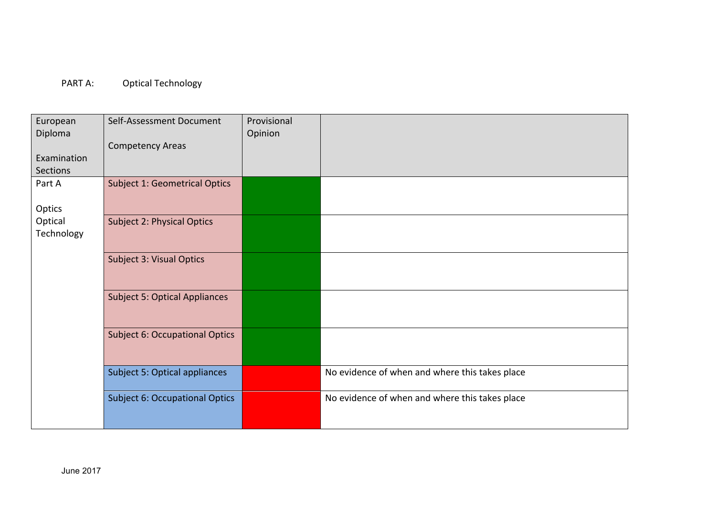## PART A: Optical Technology

| European        | Self-Assessment Document              | Provisional |                                                |
|-----------------|---------------------------------------|-------------|------------------------------------------------|
| Diploma         |                                       | Opinion     |                                                |
|                 | <b>Competency Areas</b>               |             |                                                |
| Examination     |                                       |             |                                                |
| <b>Sections</b> |                                       |             |                                                |
| Part A          | <b>Subject 1: Geometrical Optics</b>  |             |                                                |
|                 |                                       |             |                                                |
| Optics          |                                       |             |                                                |
| Optical         | <b>Subject 2: Physical Optics</b>     |             |                                                |
| Technology      |                                       |             |                                                |
|                 |                                       |             |                                                |
|                 | <b>Subject 3: Visual Optics</b>       |             |                                                |
|                 |                                       |             |                                                |
|                 |                                       |             |                                                |
|                 | <b>Subject 5: Optical Appliances</b>  |             |                                                |
|                 |                                       |             |                                                |
|                 |                                       |             |                                                |
|                 | <b>Subject 6: Occupational Optics</b> |             |                                                |
|                 |                                       |             |                                                |
|                 |                                       |             |                                                |
|                 | Subject 5: Optical appliances         |             | No evidence of when and where this takes place |
|                 |                                       |             |                                                |
|                 | <b>Subject 6: Occupational Optics</b> |             | No evidence of when and where this takes place |
|                 |                                       |             |                                                |
|                 |                                       |             |                                                |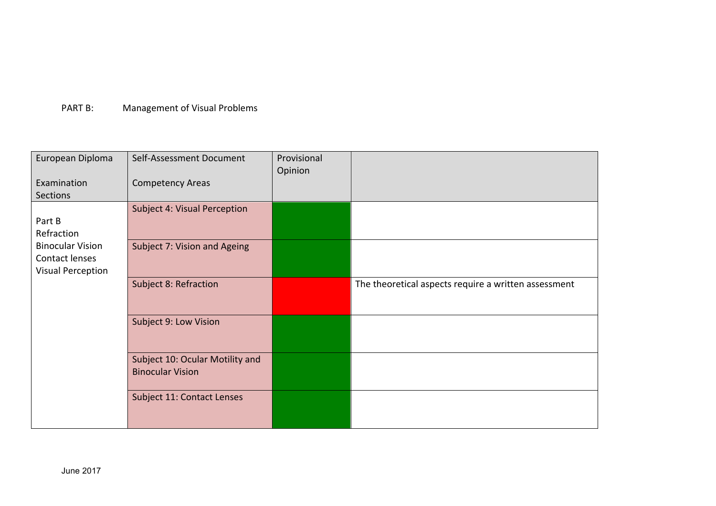## PART B: Management of Visual Problems

| European Diploma                                               | Self-Assessment Document                                   | Provisional<br>Opinion |                                                      |
|----------------------------------------------------------------|------------------------------------------------------------|------------------------|------------------------------------------------------|
| Examination<br>Sections                                        | <b>Competency Areas</b>                                    |                        |                                                      |
|                                                                | Subject 4: Visual Perception                               |                        |                                                      |
| Part B<br>Refraction                                           |                                                            |                        |                                                      |
| <b>Binocular Vision</b><br>Contact lenses<br>Visual Perception | Subject 7: Vision and Ageing                               |                        |                                                      |
|                                                                | Subject 8: Refraction                                      |                        | The theoretical aspects require a written assessment |
|                                                                | Subject 9: Low Vision                                      |                        |                                                      |
|                                                                | Subject 10: Ocular Motility and<br><b>Binocular Vision</b> |                        |                                                      |
|                                                                | Subject 11: Contact Lenses                                 |                        |                                                      |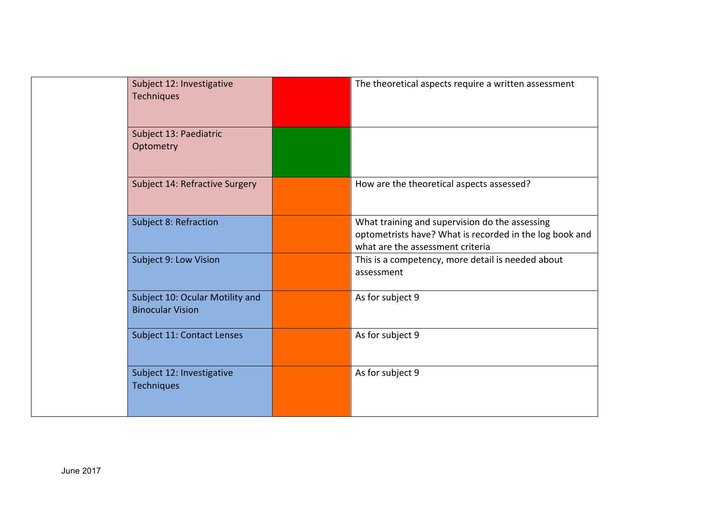| Subject 12: Investigative<br><b>Techniques</b>             | The theoretical aspects require a written assessment                                                                                          |
|------------------------------------------------------------|-----------------------------------------------------------------------------------------------------------------------------------------------|
| Subject 13: Paediatric<br>Optometry                        |                                                                                                                                               |
| Subject 14: Refractive Surgery                             | How are the theoretical aspects assessed?                                                                                                     |
| Subject 8: Refraction                                      | What training and supervision do the assessing<br>optometrists have? What is recorded in the log book and<br>what are the assessment criteria |
| Subject 9: Low Vision                                      | This is a competency, more detail is needed about<br>assessment                                                                               |
| Subject 10: Ocular Motility and<br><b>Binocular Vision</b> | As for subject 9                                                                                                                              |
| Subject 11: Contact Lenses                                 | As for subject 9                                                                                                                              |
| Subject 12: Investigative<br><b>Techniques</b>             | As for subject 9                                                                                                                              |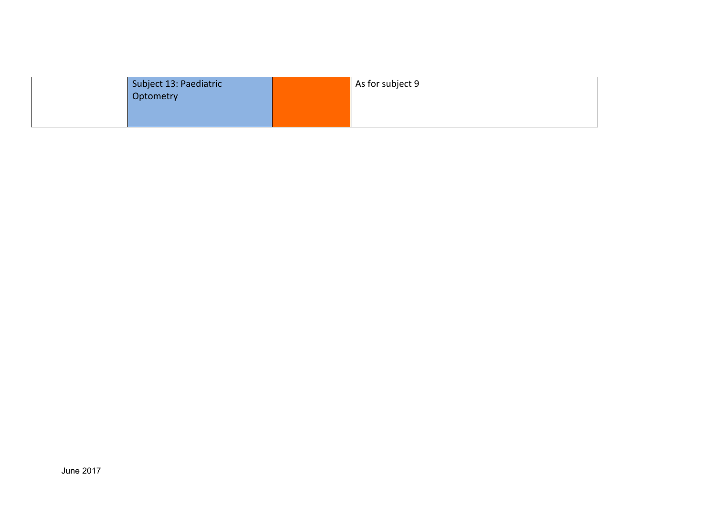| Subject 13: Paediatric<br>Optometry | As for subject 9 |
|-------------------------------------|------------------|
|                                     |                  |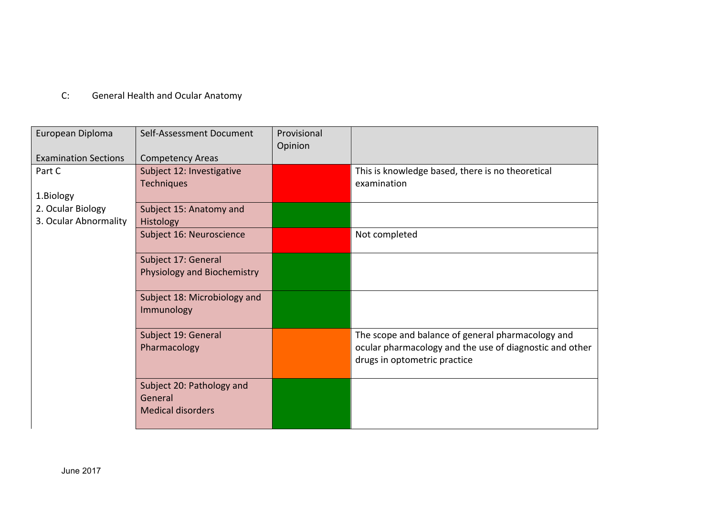## C: General Health and Ocular Anatomy

| European Diploma            | Self-Assessment Document                                         | Provisional |                                                                                                                                              |
|-----------------------------|------------------------------------------------------------------|-------------|----------------------------------------------------------------------------------------------------------------------------------------------|
| <b>Examination Sections</b> | <b>Competency Areas</b>                                          | Opinion     |                                                                                                                                              |
| Part C                      | Subject 12: Investigative                                        |             | This is knowledge based, there is no theoretical                                                                                             |
| 1.Biology                   | <b>Techniques</b>                                                |             | examination                                                                                                                                  |
| 2. Ocular Biology           | Subject 15: Anatomy and                                          |             |                                                                                                                                              |
| 3. Ocular Abnormality       | <b>Histology</b>                                                 |             |                                                                                                                                              |
|                             | Subject 16: Neuroscience                                         |             | Not completed                                                                                                                                |
|                             | Subject 17: General                                              |             |                                                                                                                                              |
|                             | Physiology and Biochemistry                                      |             |                                                                                                                                              |
|                             | Subject 18: Microbiology and<br>Immunology                       |             |                                                                                                                                              |
|                             | Subject 19: General<br>Pharmacology                              |             | The scope and balance of general pharmacology and<br>ocular pharmacology and the use of diagnostic and other<br>drugs in optometric practice |
|                             | Subject 20: Pathology and<br>General<br><b>Medical disorders</b> |             |                                                                                                                                              |